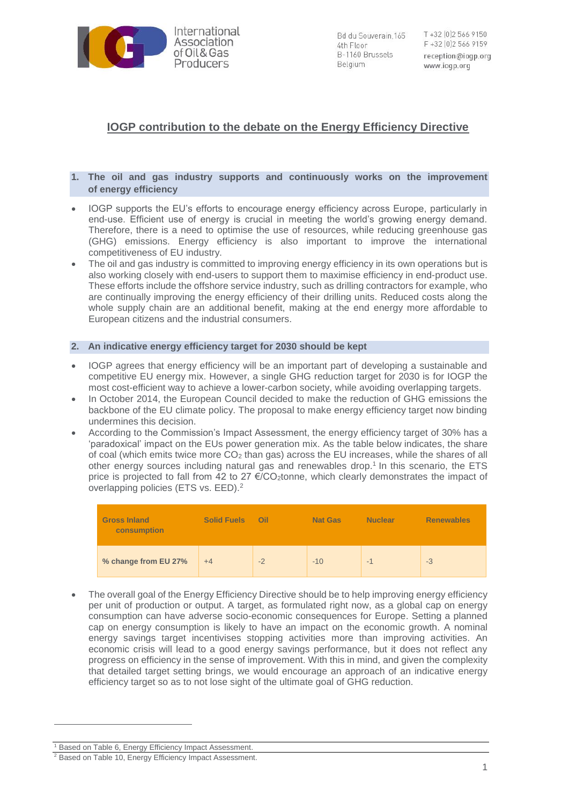

Bd du Souverain.165 4th Floor B-1160 Brussels Belgium

T +32 (0) 2 566 9150 F +32 [0] 2 566 9159 reception@iogp.org www.iogp.org

# **IOGP contribution to the debate on the Energy Efficiency Directive**

### **1. The oil and gas industry supports and continuously works on the improvement of energy efficiency**

- IOGP supports the EU's efforts to encourage energy efficiency across Europe, particularly in end-use. Efficient use of energy is crucial in meeting the world's growing energy demand. Therefore, there is a need to optimise the use of resources, while reducing greenhouse gas (GHG) emissions. Energy efficiency is also important to improve the international competitiveness of EU industry.
- The oil and gas industry is committed to improving energy efficiency in its own operations but is also working closely with end-users to support them to maximise efficiency in end-product use. These efforts include the offshore service industry, such as drilling contractors for example, who are continually improving the energy efficiency of their drilling units. Reduced costs along the whole supply chain are an additional benefit, making at the end energy more affordable to European citizens and the industrial consumers.

#### **2. An indicative energy efficiency target for 2030 should be kept**

- IOGP agrees that energy efficiency will be an important part of developing a sustainable and competitive EU energy mix. However, a single GHG reduction target for 2030 is for IOGP the most cost-efficient way to achieve a lower-carbon society, while avoiding overlapping targets.
- In October 2014, the European Council decided to make the reduction of GHG emissions the backbone of the EU climate policy. The proposal to make energy efficiency target now binding undermines this decision.
- According to the Commission's Impact Assessment, the energy efficiency target of 30% has a 'paradoxical' impact on the EUs power generation mix. As the table below indicates, the share of coal (which emits twice more  $CO<sub>2</sub>$  than gas) across the EU increases, while the shares of all other energy sources including natural gas and renewables drop. 1 In this scenario, the ETS price is projected to fall from 42 to 27  $\epsilon$ /CO<sub>2</sub>tonne, which clearly demonstrates the impact of overlapping policies (ETS vs. EED). 2

| <b>Gross Inland</b><br>consumption | <b>Solid Fuels</b> | Oil  | <b>Nat Gas</b> | <b>Nuclear</b> | <b>Renewables</b> |
|------------------------------------|--------------------|------|----------------|----------------|-------------------|
| % change from EU 27%               | $+4$               | $-2$ | $-10$          | $-$            | $-3$              |

• The overall goal of the Energy Efficiency Directive should be to help improving energy efficiency per unit of production or output. A target, as formulated right now, as a global cap on energy consumption can have adverse socio-economic consequences for Europe. Setting a planned cap on energy consumption is likely to have an impact on the economic growth. A nominal energy savings target incentivises stopping activities more than improving activities. An economic crisis will lead to a good energy savings performance, but it does not reflect any progress on efficiency in the sense of improvement. With this in mind, and given the complexity that detailed target setting brings, we would encourage an approach of an indicative energy efficiency target so as to not lose sight of the ultimate goal of GHG reduction.

-

<sup>&</sup>lt;sup>1</sup> Based on Table 6, Energy Efficiency Impact Assessment.

<sup>2</sup> Based on Table 10, Energy Efficiency Impact Assessment.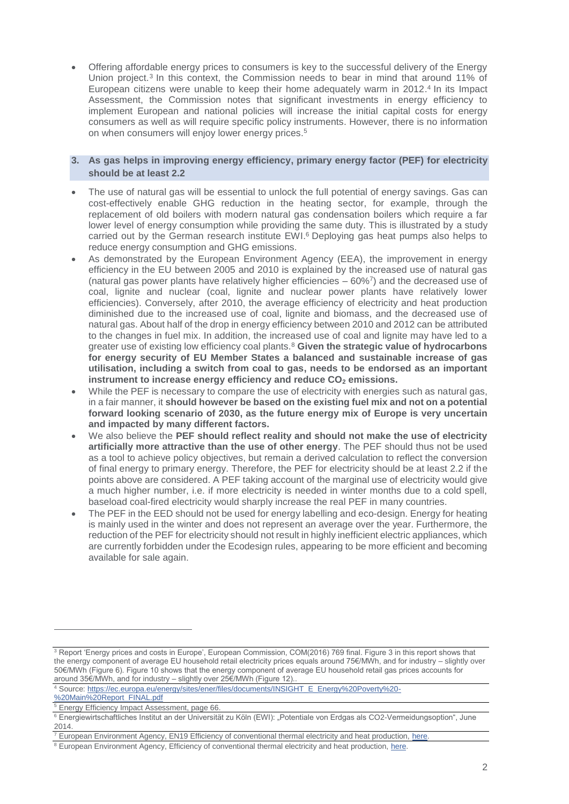• Offering affordable energy prices to consumers is key to the successful delivery of the Energy Union project.<sup>3</sup> In this context, the Commission needs to bear in mind that around 11% of European citizens were unable to keep their home adequately warm in 2012.<sup>4</sup> In its Impact Assessment, the Commission notes that significant investments in energy efficiency to implement European and national policies will increase the initial capital costs for energy consumers as well as will require specific policy instruments. However, there is no information on when consumers will enjoy lower energy prices. 5

## **3. As gas helps in improving energy efficiency, primary energy factor (PEF) for electricity should be at least 2.2**

- The use of natural gas will be essential to unlock the full potential of energy savings. Gas can cost-effectively enable GHG reduction in the heating sector, for example, through the replacement of old boilers with modern natural gas condensation boilers which require a far lower level of energy consumption while providing the same duty. This is illustrated by a study carried out by the German research institute EWI. <sup>6</sup> Deploying gas heat pumps also helps to reduce energy consumption and GHG emissions.
- As demonstrated by the European Environment Agency (EEA), the improvement in energy efficiency in the EU between 2005 and 2010 is explained by the increased use of natural gas (natural gas power plants have relatively higher efficiencies  $-60\%$ <sup>7</sup>) and the decreased use of coal, lignite and nuclear (coal, lignite and nuclear power plants have relatively lower efficiencies). Conversely, after 2010, the average efficiency of electricity and heat production diminished due to the increased use of coal, lignite and biomass, and the decreased use of natural gas. About half of the drop in energy efficiency between 2010 and 2012 can be attributed to the changes in fuel mix. In addition, the increased use of coal and lignite may have led to a greater use of existing low efficiency coal plants.<sup>8</sup> **Given the strategic value of hydrocarbons for energy security of EU Member States a balanced and sustainable increase of gas utilisation, including a switch from coal to gas, needs to be endorsed as an important instrument to increase energy efficiency and reduce CO<sup>2</sup> emissions.**
- While the PEF is necessary to compare the use of electricity with energies such as natural gas, in a fair manner, it **should however be based on the existing fuel mix and not on a potential forward looking scenario of 2030, as the future energy mix of Europe is very uncertain and impacted by many different factors.**
- We also believe the **PEF should reflect reality and should not make the use of electricity artificially more attractive than the use of other energy**. The PEF should thus not be used as a tool to achieve policy objectives, but remain a derived calculation to reflect the conversion of final energy to primary energy. Therefore, the PEF for electricity should be at least 2.2 if the points above are considered. A PEF taking account of the marginal use of electricity would give a much higher number, i.e. if more electricity is needed in winter months due to a cold spell, baseload coal-fired electricity would sharply increase the real PEF in many countries.
- The PEF in the EED should not be used for energy labelling and eco-design. Energy for heating is mainly used in the winter and does not represent an average over the year. Furthermore, the reduction of the PEF for electricity should not result in highly inefficient electric appliances, which are currently forbidden under the Ecodesign rules, appearing to be more efficient and becoming available for sale again.

-

<sup>&</sup>lt;sup>3</sup> Report 'Energy prices and costs in Europe', European Commission, COM(2016) 769 final. Figure 3 in this report shows that the energy component of average EU household retail electricity prices equals around 75€/MWh, and for industry – slightly over 50€/MWh (Figure 6). Figure 10 shows that the energy component of average EU household retail gas prices accounts for around 35€/MWh, and for industry – slightly over 25€/MWh (Figure 12)..

<sup>4</sup> Source[: https://ec.europa.eu/energy/sites/ener/files/documents/INSIGHT\\_E\\_Energy%20Poverty%20-](https://ec.europa.eu/energy/sites/ener/files/documents/INSIGHT_E_Energy%20Poverty%20-%20Main%20Report_FINAL.pdf)

[<sup>%20</sup>Main%20Report\\_FINAL.pdf](https://ec.europa.eu/energy/sites/ener/files/documents/INSIGHT_E_Energy%20Poverty%20-%20Main%20Report_FINAL.pdf)

<sup>5</sup> Energy Efficiency Impact Assessment, page 66.

<sup>6</sup> Energiewirtschaftliches Institut an der Universität zu Köln (EWI): "Potentiale von Erdgas als CO2-Vermeidungsoption", June 2014.

European Environment Agency, EN19 Efficiency of conventional thermal electricity and heat production, here.

<sup>&</sup>lt;sup>8</sup> European Environment Agency, Efficiency of conventional thermal electricity and heat production, [here.](http://www.eea.europa.eu/data-and-maps/indicators/efficiency-of-conventional-thermal-electricity-generation-4/assessment)